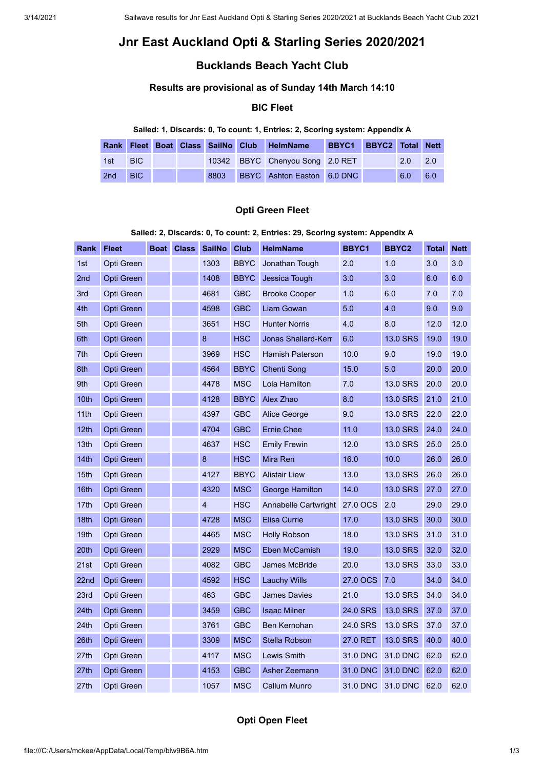# **Jnr East Auckland Opti & Starling Series 2020/2021**

## **Bucklands Beach Yacht Club**

## **Results are provisional as of Sunday 14th March 14:10**

## **BIC Fleet**

#### **Sailed: 1, Discards: 0, To count: 1, Entries: 2, Scoring system: Appendix A**

|     |                                   |  |  | Rank Fleet Boat Class SailNo Club HelmName | BBYC1 BBYC2 Total Nett |     |                  |
|-----|-----------------------------------|--|--|--------------------------------------------|------------------------|-----|------------------|
| 1st | $\blacksquare$ BIC $\blacksquare$ |  |  | 10342 BBYC Chenyou Song 2.0 RET            |                        | 2.0 | $\overline{2.0}$ |
| 2nd | BIC.                              |  |  | 8803 BBYC Ashton Easton 6.0 DNC            |                        | 6.0 | 6.0              |

#### **Opti Green Fleet**

#### **Sailed: 2, Discards: 0, To count: 2, Entries: 29, Scoring system: Appendix A**

| <b>Rank</b>      | <b>Fleet</b> | Boat | <b>Class</b> | <b>SailNo</b>           | <b>Club</b> | <b>HelmName</b>            | BBYC1    | BBYC2           | Total | <b>Nett</b> |
|------------------|--------------|------|--------------|-------------------------|-------------|----------------------------|----------|-----------------|-------|-------------|
| 1st              | Opti Green   |      |              | 1303                    | <b>BBYC</b> | Jonathan Tough             | 2.0      | 1.0             | 3.0   | 3.0         |
| 2nd              | Opti Green   |      |              | 1408                    | <b>BBYC</b> | Jessica Tough              | 3.0      | 3.0             | 6.0   | 6.0         |
| 3rd              | Opti Green   |      |              | 4681                    | <b>GBC</b>  | <b>Brooke Cooper</b>       | 1.0      | 6.0             | 7.0   | 7.0         |
| 4th              | Opti Green   |      |              | 4598                    | <b>GBC</b>  | <b>Liam Gowan</b>          | 5.0      | 4.0             | 9.0   | 9.0         |
| 5th              | Opti Green   |      |              | 3651                    | <b>HSC</b>  | <b>Hunter Norris</b>       | 4.0      | 8.0             | 12.0  | 12.0        |
| 6th              | Opti Green   |      |              | $\bf{8}$                | <b>HSC</b>  | <b>Jonas Shallard-Kerr</b> | 6.0      | <b>13.0 SRS</b> | 19.0  | 19.0        |
| 7th              | Opti Green   |      |              | 3969                    | <b>HSC</b>  | <b>Hamish Paterson</b>     | 10.0     | 9.0             | 19.0  | 19.0        |
| 8th              | Opti Green   |      |              | 4564                    | <b>BBYC</b> | Chenti Song                | 15.0     | 5.0             | 20.0  | 20.0        |
| 9th              | Opti Green   |      |              | 4478                    | <b>MSC</b>  | Lola Hamilton              | 7.0      | 13.0 SRS        | 20.0  | 20.0        |
| 10th             | Opti Green   |      |              | 4128                    | <b>BBYC</b> | Alex Zhao                  | 8.0      | 13.0 SRS        | 21.0  | 21.0        |
| 11th             | Opti Green   |      |              | 4397                    | <b>GBC</b>  | Alice George               | 9.0      | 13.0 SRS        | 22.0  | 22.0        |
| 12th             | Opti Green   |      |              | 4704                    | <b>GBC</b>  | <b>Ernie Chee</b>          | 11.0     | 13.0 SRS        | 24.0  | 24.0        |
| 13th             | Opti Green   |      |              | 4637                    | <b>HSC</b>  | <b>Emily Frewin</b>        | 12.0     | 13.0 SRS        | 25.0  | 25.0        |
| 14th             | Opti Green   |      |              | $\bf{8}$                | <b>HSC</b>  | Mira Ren                   | 16.0     | 10.0            | 26.0  | 26.0        |
| 15th             | Opti Green   |      |              | 4127                    | <b>BBYC</b> | <b>Alistair Liew</b>       | 13.0     | 13.0 SRS        | 26.0  | 26.0        |
| 16th             | Opti Green   |      |              | 4320                    | <b>MSC</b>  | George Hamilton            | 14.0     | 13.0 SRS        | 27.0  | 27.0        |
| 17th             | Opti Green   |      |              | $\overline{\mathbf{4}}$ | <b>HSC</b>  | Annabelle Cartwright       | 27.0 OCS | 2.0             | 29.0  | 29.0        |
| 18th             | Opti Green   |      |              | 4728                    | <b>MSC</b>  | <b>Elisa Currie</b>        | 17.0     | 13.0 SRS        | 30.0  | 30.0        |
| 19th             | Opti Green   |      |              | 4465                    | <b>MSC</b>  | <b>Holly Robson</b>        | 18.0     | 13.0 SRS        | 31.0  | 31.0        |
| 20th             | Opti Green   |      |              | 2929                    | <b>MSC</b>  | Eben McCamish              | 19.0     | 13.0 SRS        | 32.0  | 32.0        |
| 21st             | Opti Green   |      |              | 4082                    | <b>GBC</b>  | <b>James McBride</b>       | 20.0     | 13.0 SRS        | 33.0  | 33.0        |
| 22 <sub>nd</sub> | Opti Green   |      |              | 4592                    | <b>HSC</b>  | Lauchy Wills               | 27.0 OCS | 7.0             | 34.0  | 34.0        |
| 23rd             | Opti Green   |      |              | 463                     | <b>GBC</b>  | <b>James Davies</b>        | 21.0     | 13.0 SRS        | 34.0  | 34.0        |
| 24th             | Opti Green   |      |              | 3459                    | <b>GBC</b>  | <b>Isaac Milner</b>        | 24.0 SRS | 13.0 SRS        | 37.0  | 37.0        |
| 24th             | Opti Green   |      |              | 3761                    | <b>GBC</b>  | <b>Ben Kernohan</b>        | 24.0 SRS | 13.0 SRS        | 37.0  | 37.0        |
| 26th             | Opti Green   |      |              | 3309                    | <b>MSC</b>  | Stella Robson              | 27.0 RET | 13.0 SRS        | 40.0  | 40.0        |
| 27th             | Opti Green   |      |              | 4117                    | <b>MSC</b>  | <b>Lewis Smith</b>         | 31.0 DNC | 31.0 DNC        | 62.0  | 62.0        |
| 27th             | Opti Green   |      |              | 4153                    | <b>GBC</b>  | Asher Zeemann              | 31.0 DNC | 31.0 DNC        | 62.0  | 62.0        |
| 27th             | Opti Green   |      |              | 1057                    | <b>MSC</b>  | <b>Callum Munro</b>        | 31.0 DNC | 31.0 DNC        | 62.0  | 62.0        |

## **Opti Open Fleet**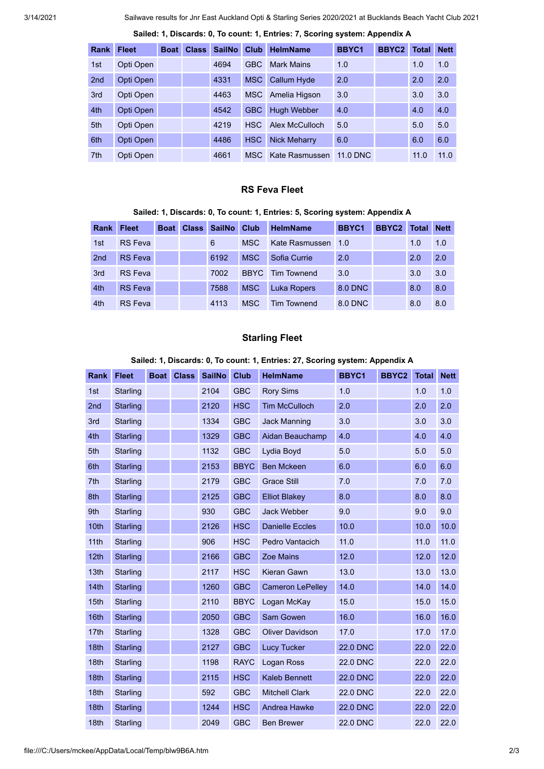3/14/2021 Sailwave results for Jnr East Auckland Opti & Starling Series 2020/2021 at Bucklands Beach Yacht Club 2021

| <b>Rank</b>     | <b>Fleet</b> | <b>Boat</b> | <b>Class</b> | <b>SailNo</b> | <b>Club</b> | <b>HelmName</b>     | BBYC1           | <b>BBYC2</b> | Total | <b>Nett</b> |
|-----------------|--------------|-------------|--------------|---------------|-------------|---------------------|-----------------|--------------|-------|-------------|
| 1st             | Opti Open    |             |              | 4694          | <b>GBC</b>  | <b>Mark Mains</b>   | 1.0             |              | 1.0   | 1.0         |
| 2 <sub>nd</sub> | Opti Open    |             |              | 4331          | <b>MSC</b>  | <b>Callum Hyde</b>  | 2.0             |              | 2.0   | 2.0         |
| 3rd             | Opti Open    |             |              | 4463          | MSC.        | Amelia Higson       | 3.0             |              | 3.0   | 3.0         |
| 4th             | Opti Open    |             |              | 4542          | <b>GBC</b>  | <b>Hugh Webber</b>  | 4.0             |              | 4.0   | 4.0         |
| 5th             | Opti Open    |             |              | 4219          | <b>HSC</b>  | Alex McCulloch      | 5.0             |              | 5.0   | 5.0         |
| 6th             | Opti Open    |             |              | 4486          | <b>HSC</b>  | <b>Nick Meharry</b> | 6.0             |              | 6.0   | 6.0         |
| 7th             | Opti Open    |             |              | 4661          | MSC         | Kate Rasmussen      | <b>11.0 DNC</b> |              | 11.0  | 11.0        |

#### **Sailed: 1, Discards: 0, To count: 1, Entries: 7, Scoring system: Appendix A**

#### **RS Feva Fleet**

#### **Sailed: 1, Discards: 0, To count: 1, Entries: 5, Scoring system: Appendix A**

| Rank | <b>Fleet</b>   | <b>Boat</b> | <b>Class</b> | <b>SailNo</b> | Club        | <b>HelmName</b>    | BBYC1   | <b>BBYC2</b> | Total | <b>Nett</b> |
|------|----------------|-------------|--------------|---------------|-------------|--------------------|---------|--------------|-------|-------------|
| 1st  | <b>RS</b> Feva |             |              | 6             | MSC.        | Kate Rasmussen     | 1.0     |              | 1.0   | 1.0         |
| 2nd  | <b>RS</b> Feva |             |              | 6192          | <b>MSC</b>  | Sofia Currie       | 2.0     |              | 2.0   | 2.0         |
| 3rd  | <b>RS</b> Feva |             |              | 7002          | <b>BBYC</b> | <b>Tim Townend</b> | 3.0     |              | 3.0   | 3.0         |
| 4th  | <b>RS</b> Feva |             |              | 7588          | <b>MSC</b>  | <b>Luka Ropers</b> | 8.0 DNC |              | 8.0   | 8.0         |
| 4th  | <b>RS</b> Feva |             |              | 4113          | MSC.        | <b>Tim Townend</b> | 8.0 DNC |              | 8.0   | 8.0         |

### **Starling Fleet**

#### **Sailed: 1, Discards: 0, To count: 1, Entries: 27, Scoring system: Appendix A**

| Rank             | <b>Fleet</b>    | <b>Boat</b> | <b>Class</b> | <b>SailNo</b> | <b>Club</b> | <b>HelmName</b>         | BBYC1           | BBYC2 | <b>Total</b> | <b>Nett</b> |
|------------------|-----------------|-------------|--------------|---------------|-------------|-------------------------|-----------------|-------|--------------|-------------|
| 1st              | <b>Starling</b> |             |              | 2104          | <b>GBC</b>  | <b>Rory Sims</b>        | 1.0             |       | 1.0          | 1.0         |
| 2nd              | <b>Starling</b> |             |              | 2120          | <b>HSC</b>  | <b>Tim McCulloch</b>    | 2.0             |       | 2.0          | 2.0         |
| 3rd              | <b>Starling</b> |             |              | 1334          | <b>GBC</b>  | <b>Jack Manning</b>     | 3.0             |       | 3.0          | 3.0         |
| 4th              | <b>Starling</b> |             |              | 1329          | <b>GBC</b>  | Aidan Beauchamp         | 4.0             |       | 4.0          | 4.0         |
| 5th              | <b>Starling</b> |             |              | 1132          | <b>GBC</b>  | Lydia Boyd              | 5.0             |       | 5.0          | 5.0         |
| 6th              | <b>Starling</b> |             |              | 2153          | <b>BBYC</b> | <b>Ben Mckeen</b>       | 6.0             |       | 6.0          | 6.0         |
| 7th              | Starling        |             |              | 2179          | <b>GBC</b>  | <b>Grace Still</b>      | 7.0             |       | 7.0          | 7.0         |
| 8th              | Starling        |             |              | 2125          | <b>GBC</b>  | <b>Elliot Blakey</b>    | 8.0             |       | 8.0          | 8.0         |
| 9th              | Starling        |             |              | 930           | <b>GBC</b>  | <b>Jack Webber</b>      | 9.0             |       | 9.0          | 9.0         |
| 10th             | <b>Starling</b> |             |              | 2126          | <b>HSC</b>  | <b>Danielle Eccles</b>  | 10.0            |       | 10.0         | 10.0        |
| 11th             | Starling        |             |              | 906           | <b>HSC</b>  | Pedro Vantacich         | 11.0            |       | 11.0         | 11.0        |
| 12th             | <b>Starling</b> |             |              | 2166          | <b>GBC</b>  | <b>Zoe Mains</b>        | 12.0            |       | 12.0         | 12.0        |
| 13th             | Starling        |             |              | 2117          | <b>HSC</b>  | Kieran Gawn             | 13.0            |       | 13.0         | 13.0        |
| 14th             | <b>Starling</b> |             |              | 1260          | <b>GBC</b>  | <b>Cameron LePelley</b> | 14.0            |       | 14.0         | 14.0        |
| 15th             | Starling        |             |              | 2110          | <b>BBYC</b> | Logan McKay             | 15.0            |       | 15.0         | 15.0        |
| 16th             | <b>Starling</b> |             |              | 2050          | <b>GBC</b>  | <b>Sam Gowen</b>        | 16.0            |       | 16.0         | 16.0        |
| 17th             | <b>Starling</b> |             |              | 1328          | <b>GBC</b>  | <b>Oliver Davidson</b>  | 17.0            |       | 17.0         | 17.0        |
| 18th             | <b>Starling</b> |             |              | 2127          | <b>GBC</b>  | <b>Lucy Tucker</b>      | <b>22.0 DNC</b> |       | 22.0         | 22.0        |
| 18th             | <b>Starling</b> |             |              | 1198          | <b>RAYC</b> | Logan Ross              | <b>22.0 DNC</b> |       | 22.0         | 22.0        |
| 18 <sub>th</sub> | <b>Starling</b> |             |              | 2115          | <b>HSC</b>  | <b>Kaleb Bennett</b>    | <b>22.0 DNC</b> |       | 22.0         | 22.0        |
| 18th             | <b>Starling</b> |             |              | 592           | <b>GBC</b>  | <b>Mitchell Clark</b>   | <b>22.0 DNC</b> |       | 22.0         | 22.0        |
| 18 <sub>th</sub> | Starling        |             |              | 1244          | <b>HSC</b>  | <b>Andrea Hawke</b>     | <b>22.0 DNC</b> |       | 22.0         | 22.0        |
| 18 <sub>th</sub> | Starling        |             |              | 2049          | <b>GBC</b>  | <b>Ben Brewer</b>       | <b>22.0 DNC</b> |       | 22.0         | 22.0        |